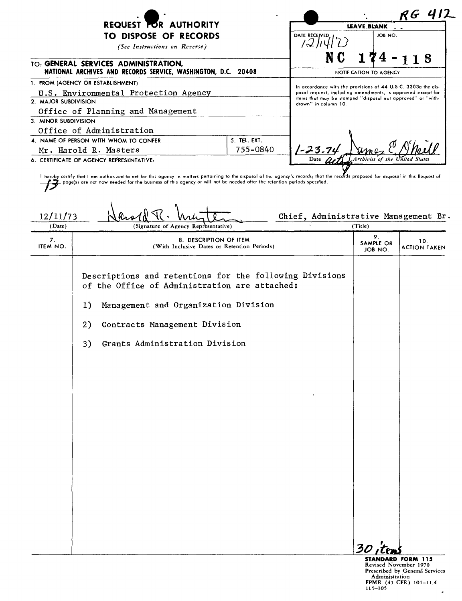| <b>REQUEST FOR AUTHORITY</b><br>TO DISPOSE OF RECORDS<br>(See Instructions on Reverse)<br>TO: GENERAL SERVICES ADMINISTRATION,<br>NATIONAL ARCHIVES AND RECORDS SERVICE, WASHINGTON, D.C. 20408 |  | DATE RECEIVED<br>N C                                                                                                                                                                                                | <b>LEAVE BLANK</b><br>JOB NO.<br>$174 - 118$ |
|-------------------------------------------------------------------------------------------------------------------------------------------------------------------------------------------------|--|---------------------------------------------------------------------------------------------------------------------------------------------------------------------------------------------------------------------|----------------------------------------------|
|                                                                                                                                                                                                 |  |                                                                                                                                                                                                                     |                                              |
|                                                                                                                                                                                                 |  |                                                                                                                                                                                                                     | NOTIFICATION TO AGENCY                       |
| 1. FROM (AGENCY OR ESTABLISHMENT)                                                                                                                                                               |  | In accordance with the provisions of 44 U.S.C. 3303a the dis-<br>posol request, including omendments, is approved except for<br>items that may be stamped "disposal not approved" or "with-<br>drawn" in column 10. |                                              |
| U.S. Environmental Protection Agency                                                                                                                                                            |  |                                                                                                                                                                                                                     |                                              |
| 2. MAJOR SUBDIVISION                                                                                                                                                                            |  |                                                                                                                                                                                                                     |                                              |
| Office of Planning and Management                                                                                                                                                               |  |                                                                                                                                                                                                                     |                                              |
| 3. MINOR SUBDIVISION                                                                                                                                                                            |  |                                                                                                                                                                                                                     |                                              |
| Office of Administration                                                                                                                                                                        |  |                                                                                                                                                                                                                     |                                              |
| 5. TEL. EXT.<br>4. NAME OF PERSON WITH WHOM TO CONFER                                                                                                                                           |  |                                                                                                                                                                                                                     |                                              |
| 755-0840<br>Mr. Harold R. Masters                                                                                                                                                               |  |                                                                                                                                                                                                                     |                                              |
| 6. CERTIFICATE OF AGENCY REPRESENTATIVE:                                                                                                                                                        |  |                                                                                                                                                                                                                     | Date at Archivist of the United States       |

. we express your product and connect zea on our rate agency in matters pertaining to the disposal of the agency's records; that the<br>Paper(s) are not now needed for the business of this agency or will not be needed ofter t  $\underbrace{12/11/73}_{(Date)}$  What  $\underbrace{N}$  What  $\underbrace{N}$  What  $\underbrace{N}$  Chief, Administrative Management Br. (Signature of Agency Representative) 9. 8. DESCRIPTION OF ITEM 10.<br>ITEM NO. (With Inclusive Dates or Retention Periods) SAMPLE OR 10. IOB NO. ACTION TAKEN Descriptions and retentions for the following Divisions of the Office of Administration are attached: 1) Management and Organization Division 2) Contracts Management Division 3) Grants Administration Division

, *30,Cf'JI.l*

STANDARD FORM 115 Revised November 1970 Prescribed by General Services Administration<br>FPMR (41 CFR) 101–11<br>115–105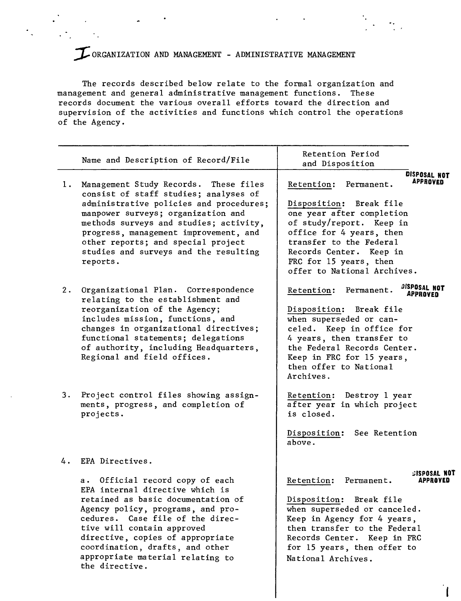## ~ORGANIZATION AND MANAGEMENT - ADMINISTRATIVE MANAGEMENT

 $\ddot{\phantom{0}}$  .

The records described below relate to the formal organization and management and general administrative management functions. These records document the various overall efforts toward the direction and supervision of the activities and functions which control the operations of the Agency.

|       | Name and Description of Record/File                                                                                                                                                                                                                                                                                                             | Retention Period<br>and Disposition                                                                                                                                                                                                                                                        |
|-------|-------------------------------------------------------------------------------------------------------------------------------------------------------------------------------------------------------------------------------------------------------------------------------------------------------------------------------------------------|--------------------------------------------------------------------------------------------------------------------------------------------------------------------------------------------------------------------------------------------------------------------------------------------|
| 1.    | Management Study Records. These files<br>consist of staff studies; analyses of<br>administrative policies and procedures;<br>manpower surveys; organization and<br>methods surveys and studies; activity,<br>progress, management improvement, and<br>other reports; and special project<br>studies and surveys and the resulting<br>reports.   | DISPOSAL NOT<br><b>APPROVED</b><br>Retention:<br>Permanent.<br>Disposition: Break file<br>one year after completion<br>of study/report. Keep in<br>office for 4 years, then<br>transfer to the Federal<br>Records Center. Keep in<br>FRC for 15 years, then<br>offer to National Archives. |
| $2$ . | Organizational Plan. Correspondence<br>relating to the establishment and<br>reorganization of the Agency;<br>includes mission, functions, and<br>changes in organizational directives;<br>functional statements; delegations<br>of authority, including Headquarters,<br>Regional and field offices.                                            | <b>JISPOSAL NOT</b><br>Retention: Permanent.<br>APPROVED<br>Disposition: Break file<br>when superseded or can-<br>celed. Keep in office for<br>4 years, then transfer to<br>the Federal Records Center.<br>Keep in FRC for 15 years,<br>then offer to National<br>Archives.                |
| 3.    | Project control files showing assign-<br>ments, progress, and completion of<br>projects.                                                                                                                                                                                                                                                        | Destroy 1 year<br>Retention:<br>after year in which project<br>is closed.<br>See Retention<br>Disposition:<br>above.                                                                                                                                                                       |
| 4.    | EPA Directives.                                                                                                                                                                                                                                                                                                                                 |                                                                                                                                                                                                                                                                                            |
|       | Official record copy of each<br>а.<br>EPA internal directive which is<br>retained as basic documentation of<br>Agency policy, programs, and pro-<br>cedures. Case file of the direc-<br>tive will contain approved<br>directive, copies of appropriate<br>coordination, drafts, and other<br>appropriate material relating to<br>the directive. | <b>GISPOSAL NOT</b><br>Retention:<br>Permanent.<br>APPROVED<br>Disposition:<br>Break file<br>when superseded or canceled.<br>Keep in Agency for 4 years,<br>then transfer to the Federal<br>Records Center. Keep in FRC<br>for 15 years, then offer to<br>National Archives.               |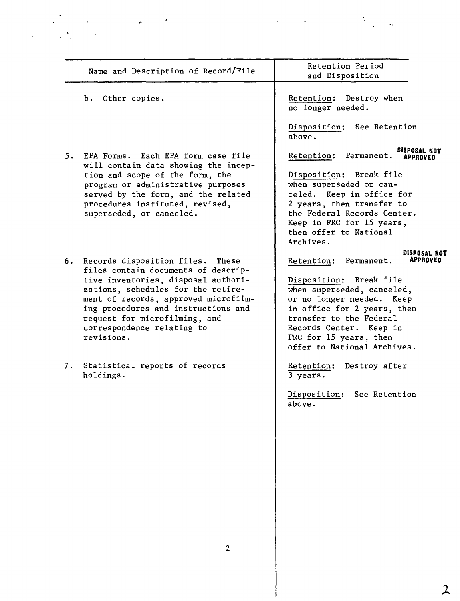| Name and Description of Record/File                                           | Retention Period<br>and Disposition                      |
|-------------------------------------------------------------------------------|----------------------------------------------------------|
| Other copies.<br>b.                                                           | Retention: Destroy when<br>no longer needed.             |
|                                                                               | Disposition: See Retention<br>above.                     |
| 5. EPA Forms. Each EPA form case file<br>will contain data showing the incep- | Retention: Permanent.                                    |
| tion and scope of the form, the                                               | Disposition: Break file                                  |
| program or administrative purposes                                            | when superseded or can-                                  |
| served by the form, and the related<br>procedures instituted, revised,        | celed. Keep in office for<br>2 years, then transfer to   |
| superseded, or canceled.                                                      | the Federal Records Center.                              |
|                                                                               | Keep in FRC for 15 years,                                |
|                                                                               | then offer to National                                   |
|                                                                               | Archives.                                                |
| 6. Records disposition files. These<br>files contain documents of descrip-    | DISPOSAL NOT<br><b>APPROVED</b><br>Retention: Permanent. |
| tive inventories, disposal authori-                                           | Disposition: Break file                                  |
| zations, schedules for the retire-                                            | when superseded, canceled,                               |
| ment of records, approved microfilm-                                          | or no longer needed. Keep                                |
| ing procedures and instructions and                                           | in office for 2 years, then                              |
| request for microfilming, and                                                 | transfer to the Federal<br>Records Center. Keep in       |
| correspondence relating to<br>revisions.                                      | FRC for 15 years, then                                   |
|                                                                               | offer to National Archives.                              |
| 7. Statistical reports of records<br>holdings.                                | Destroy after<br>Retention:<br>3 years.                  |
|                                                                               | Disposition: See Retention<br>above.                     |
|                                                                               |                                                          |
|                                                                               |                                                          |
|                                                                               |                                                          |
|                                                                               |                                                          |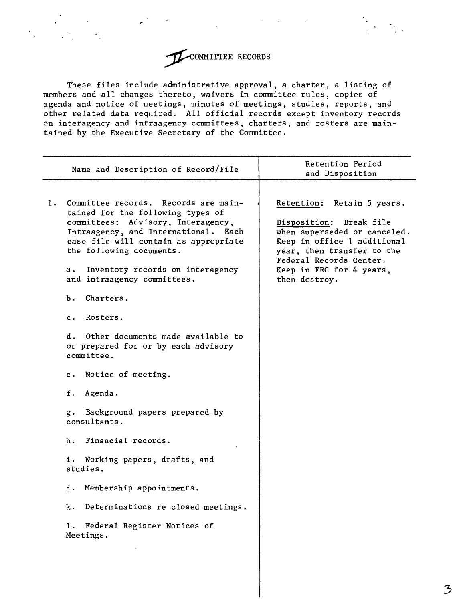

These files include administrative approval, a charter, a listing of members and all changes thereto, waivers in committee rules, copies of agenda and notice of meetings, minutes of meetings, studies, reports, and other related data required. All official records except inventory records on interagency and intraagency committees, charters, and rosters are maintained by the Executive Secretary of the Committee.

| Name and Description of Record/File                                                                                                                                                                                                                                                                                                                                                                                                                                                                                                                                                                                                                                                                                                           |                           | Retention Period                                                                                                                                                                                                                                 |
|-----------------------------------------------------------------------------------------------------------------------------------------------------------------------------------------------------------------------------------------------------------------------------------------------------------------------------------------------------------------------------------------------------------------------------------------------------------------------------------------------------------------------------------------------------------------------------------------------------------------------------------------------------------------------------------------------------------------------------------------------|---------------------------|--------------------------------------------------------------------------------------------------------------------------------------------------------------------------------------------------------------------------------------------------|
| 1.<br>Committee records.<br>tained for the following types of<br>committees: Advisory, Interagency,<br>Intraagency, and International.<br>case file will contain as appropriate<br>the following documents.<br>Inventory records on interagency<br>а.<br>and intraagency committees.<br>Ъ.<br>Charters.<br>Rosters.<br>c.<br>d.<br>Other documents made available to<br>or prepared for or by each advisory<br>committee.<br>Notice of meeting.<br>е.<br>f.<br>Agenda.<br>Background papers prepared by<br>$g$ .<br>consultants.<br>Financial records.<br>h.<br>i.<br>Working papers, drafts, and<br>studies.<br>Membership appointments.<br>i.<br>Determinations re closed meetings.<br>k.<br>1.<br>Federal Register Notices of<br>Meetings. | Records are main-<br>Each | and Disposition<br>Retention:<br>Retain 5 years.<br>Disposition: Break file<br>when superseded or canceled.<br>Keep in office 1 additional<br>year, then transfer to the<br>Federal Records Center.<br>Keep in FRC for 4 years,<br>then destroy. |
|                                                                                                                                                                                                                                                                                                                                                                                                                                                                                                                                                                                                                                                                                                                                               |                           |                                                                                                                                                                                                                                                  |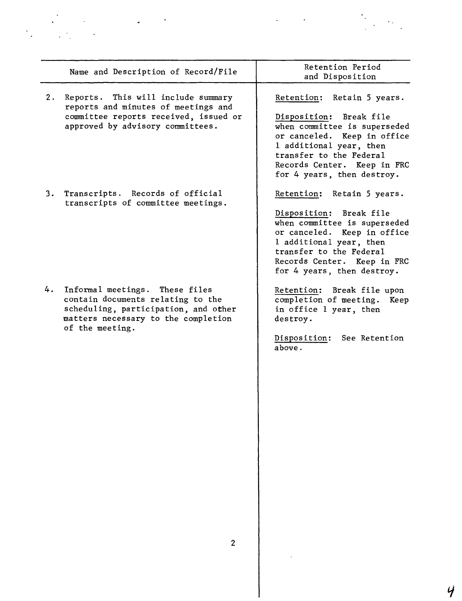|    | Name and Description of Record/File                                                                                                                                      | Retention Period<br>and Disposition                                                                                                                                                                                                     |
|----|--------------------------------------------------------------------------------------------------------------------------------------------------------------------------|-----------------------------------------------------------------------------------------------------------------------------------------------------------------------------------------------------------------------------------------|
|    | 2. Reports. This will include summary<br>reports and minutes of meetings and<br>committee reports received, issued or<br>approved by advisory committees.                | Retention: Retain 5 years.<br>Disposition: Break file<br>when committee is superseded<br>or canceled. Keep in office<br>1 additional year, then<br>transfer to the Federal<br>Records Center. Keep in FRC<br>for 4 years, then destroy. |
| 3. | Transcripts. Records of official<br>transcripts of committee meetings.                                                                                                   | Retention: Retain 5 years.<br>Disposition: Break file<br>when committee is superseded<br>or canceled. Keep in office<br>1 additional year, then<br>transfer to the Federal<br>Records Center. Keep in FRC<br>for 4 years, then destroy. |
|    | 4. Informal meetings. These files<br>contain documents relating to the<br>scheduling, participation, and other<br>matters necessary to the completion<br>of the meeting. | Retention: Break file upon<br>completion of meeting. Keep<br>in office 1 year, then<br>destroy.<br>Disposition: See Retention<br>above.                                                                                                 |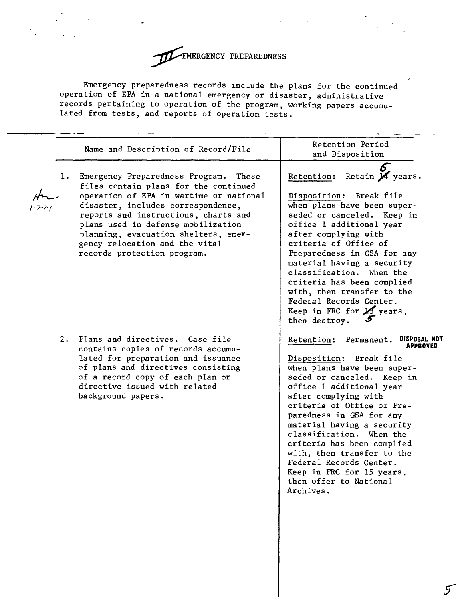

Emergency preparedness records include the plans for the continued operation of EPA in a national emergency or disaster, administrative records pertaining to operation of the program, working papers accumulated from tests, and reports of operation tests.

|    | Name and Description of Record/File                                                                                                                                                                                                                                                                                                                       | Retention Period<br>and Disposition                                                                                                                                                                                                                                                                                                                                                                                                                                          |
|----|-----------------------------------------------------------------------------------------------------------------------------------------------------------------------------------------------------------------------------------------------------------------------------------------------------------------------------------------------------------|------------------------------------------------------------------------------------------------------------------------------------------------------------------------------------------------------------------------------------------------------------------------------------------------------------------------------------------------------------------------------------------------------------------------------------------------------------------------------|
| 1. | Emergency Preparedness Program.<br>These<br>files contain plans for the continued<br>operation of EPA in wartime or national<br>disaster, includes correspondence,<br>reports and instructions, charts and<br>plans used in defense mobilization<br>planning, evacuation shelters, emer-<br>gency relocation and the vital<br>records protection program. | Retention: Retain M years.<br>Disposition: Break file<br>when plans have been super-<br>seded or canceled. Keep in<br>office 1 additional year<br>after complying with<br>criteria of Office of<br>Preparedness in GSA for any<br>material having a security<br>classification. When the<br>criteria has been complied<br>with, then transfer to the<br>Federal Records Center.<br>Keep in FRC for $\cancel{15}$ years,<br>then destroy.                                     |
| 2. | Plans and directives. Case file<br>contains copies of records accumu-<br>lated for preparation and issuance<br>of plans and directives consisting<br>of a record copy of each plan or<br>directive issued with related<br>background papers.                                                                                                              | DISPOSAL NOT<br>Retention: Permanent.<br>APPROVED<br>Disposition: Break file<br>when plans have been super-<br>seded or canceled. Keep in<br>office 1 additional year<br>after complying with<br>criteria of Office of Pre-<br>paredness in GSA for any<br>material having a security<br>classification. When the<br>criteria has been complied<br>with, then transfer to the<br>Federal Records Center.<br>Keep in FRC for 15 years,<br>then offer to National<br>Archives. |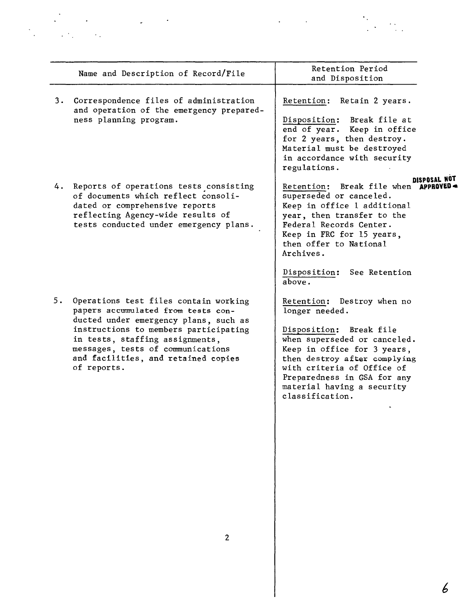|    | Name and Description of Record/File                                                                                                                                                                                                                                                         | Retention Period<br>and Disposition                                                                                                                                                                                                                                                  |
|----|---------------------------------------------------------------------------------------------------------------------------------------------------------------------------------------------------------------------------------------------------------------------------------------------|--------------------------------------------------------------------------------------------------------------------------------------------------------------------------------------------------------------------------------------------------------------------------------------|
| 3. | Correspondence files of administration<br>and operation of the emergency prepared-<br>ness planning program.                                                                                                                                                                                | Retention: Retain 2 years.<br>Disposition: Break file at<br>end of year. Keep in office<br>for 2 years, then destroy.<br>Material must be destroyed<br>in accordance with security<br>regulations.                                                                                   |
| 4. | Reports of operations tests consisting<br>of documents which reflect consoli-<br>dated or comprehensive reports<br>reflecting Agency-wide results of<br>tests conducted under emergency plans.                                                                                              | Retention: Break file when <b>APPI</b><br>superseded or canceled.<br>Keep in office 1 additional<br>year, then transfer to the<br>Federal Records Center.<br>Keep in FRC for 15 years,<br>then offer to National<br>Archives.<br>Disposition: See Retention<br>above.                |
| 5. | Operations test files contain working<br>papers accumulated from tests con-<br>ducted under emergency plans, such as<br>instructions to members participating<br>in tests, staffing assignments,<br>messages, tests of communications<br>and facilities, and retained copies<br>of reports. | Retention: Destroy when no<br>longer needed.<br>Disposition: Break file<br>when superseded or canceled.<br>Keep in office for 3 years,<br>then destroy after complying<br>with criteria of Office of<br>Preparedness in GSA for any<br>material having a security<br>classification. |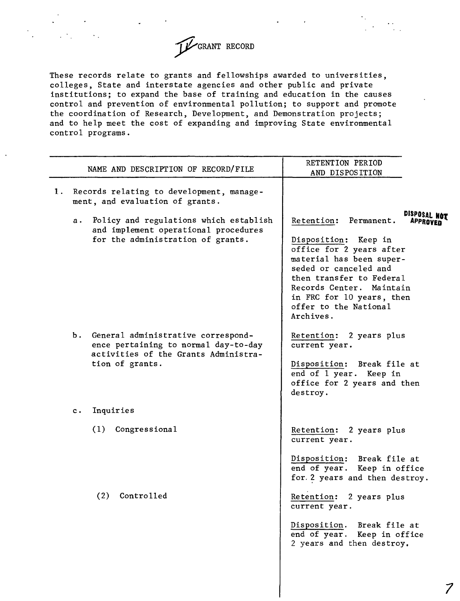

These records relate to grants and fellowships awarded to universities, colleges, State and interstate agencies and other public and private institutions; to expand the base of training and education in the causes control and prevention of environmental pollution; to support and promote the coordination of Research, Development, and Demonstration projects; and to help meet the cost of expanding and improving State environmental control programs.

|    | NAME AND DESCRIPTION OF RECORD/FILE                                                                                                      | RETENTION PERIOD<br>AND DISPOSITION                                                                                                                                                                                                                                                 |
|----|------------------------------------------------------------------------------------------------------------------------------------------|-------------------------------------------------------------------------------------------------------------------------------------------------------------------------------------------------------------------------------------------------------------------------------------|
| 1. | Records relating to development, manage-<br>ment, and evaluation of grants.                                                              |                                                                                                                                                                                                                                                                                     |
|    | Policy and regulations which establish<br>а.<br>and implement operational procedures<br>for the administration of grants.                | DISPOSAL N<br>Retention: Permanent.<br>APPROVED<br>Disposition: Keep in<br>office for 2 years after<br>material has been super-<br>seded or canceled and<br>then transfer to Federal<br>Records Center. Maintain<br>in FRC for 10 years, then<br>offer to the National<br>Archives. |
|    | b. General administrative correspond-<br>ence pertaining to normal day-to-day<br>activities of the Grants Administra-<br>tion of grants. | Retention: 2 years plus<br>current year.<br>Disposition: Break file at<br>end of 1 year. Keep in<br>office for 2 years and then<br>destroy.                                                                                                                                         |
|    | Inquiries<br>$c \cdot$                                                                                                                   |                                                                                                                                                                                                                                                                                     |
|    | (1)<br>Congressional                                                                                                                     | Retention: 2 years plus<br>current year.<br>Disposition: Break file at<br>end of year. Keep in office                                                                                                                                                                               |
|    | (2) Controlled                                                                                                                           | for. 2 years and then destroy.<br>Retention: 2 years plus<br>current year.<br>Disposition. Break file at<br>end of year.<br>Keep in office<br>2 years and then destroy.                                                                                                             |
|    |                                                                                                                                          |                                                                                                                                                                                                                                                                                     |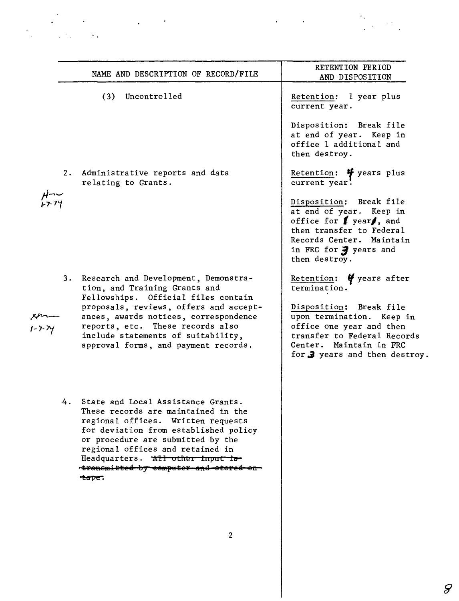|    | NAME AND DESCRIPTION OF RECORD/FILE                                                                                                                                                                                                                                                                                     | RETENTION PERIOD<br>AND DISPOSITION                                                                                                                                                          |
|----|-------------------------------------------------------------------------------------------------------------------------------------------------------------------------------------------------------------------------------------------------------------------------------------------------------------------------|----------------------------------------------------------------------------------------------------------------------------------------------------------------------------------------------|
|    | (3) Uncontrolled                                                                                                                                                                                                                                                                                                        | Retention: 1 year plus<br>current year.                                                                                                                                                      |
|    |                                                                                                                                                                                                                                                                                                                         | Disposition: Break file<br>at end of year. Keep in<br>office 1 additional and<br>then destroy.                                                                                               |
| 2. | Administrative reports and data<br>relating to Grants.                                                                                                                                                                                                                                                                  | Retention: $\mathbf{\mathbf{\Psi}}$ years plus<br>current year.                                                                                                                              |
|    |                                                                                                                                                                                                                                                                                                                         | Disposition: Break file<br>at end of year. Keep in<br>office for $\ell$ year $\ell$ , and<br>then transfer to Federal<br>Records Center. Maintain<br>in FRC for 3 years and<br>then destroy. |
|    | 3. Research and Development, Demonstra-<br>tion, and Training Grants and<br>Fellowships. Official files contain                                                                                                                                                                                                         | Retention: $\frac{1}{2}$ years after<br>termination.                                                                                                                                         |
|    | proposals, reviews, offers and accept-<br>ances, awards notices, correspondence<br>reports, etc. These records also<br>include statements of suitability,<br>approval forms, and payment records.                                                                                                                       | Disposition: Break file<br>upon termination. Keep in<br>office one year and then<br>transfer to Federal Records<br>Center. Maintain in FRC<br>for <b>3</b> years and then destroy.           |
|    | 4. State and Local Assistance Grants.<br>These records are maintained in the<br>regional offices. Written requests<br>for deviation from established policy<br>or procedure are submitted by the<br>regional offices and retained in<br>Headquarters. All other input is<br>transmitted by computer and stored<br>eape. |                                                                                                                                                                                              |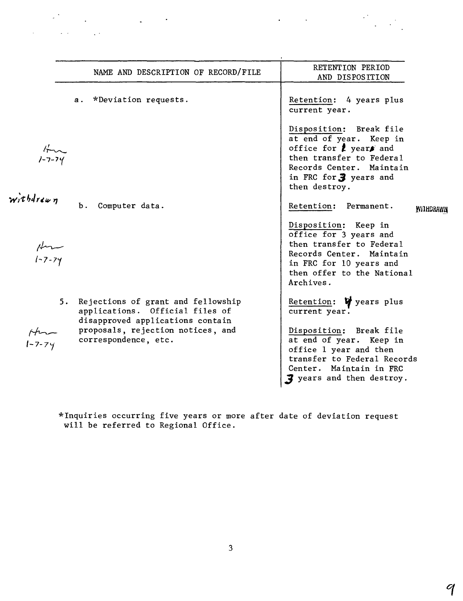|                 | NAME AND DESCRIPTION OF RECORD/FILE                                                                                                                                       | RETENTION PERIOD<br>AND DISPOSITION                                                                                                                                                                                             |
|-----------------|---------------------------------------------------------------------------------------------------------------------------------------------------------------------------|---------------------------------------------------------------------------------------------------------------------------------------------------------------------------------------------------------------------------------|
|                 | *Deviation requests.<br>а.                                                                                                                                                | Retention: 4 years plus<br>current year.                                                                                                                                                                                        |
|                 |                                                                                                                                                                           | Disposition: Break file<br>at end of year. Keep in<br>office for $\boldsymbol{\ell}$ years and<br>then transfer to Federal<br>Records Center. Maintain<br>in FRC for 3 years and<br>then destroy.                               |
| withdrawn       | Ъ.<br>Computer data.                                                                                                                                                      | Retention: Permanent.<br><b>WILHDRAWN</b>                                                                                                                                                                                       |
| $\mu$<br>1-7-74 |                                                                                                                                                                           | Disposition: Keep in<br>office for 3 years and<br>then transfer to Federal<br>Records Center. Maintain<br>in FRC for 10 years and<br>then offer to the National<br>Archives.                                                    |
|                 | 5. Rejections of grant and fellowship<br>applications. Official files of<br>disapproved applications contain<br>proposals, rejection notices, and<br>correspondence, etc. | Retention: $\mathbf{\nabla}$ years plus<br>current year.<br>Disposition: Break file<br>at end of year. Keep in<br>office 1 year and then<br>transfer to Federal Records<br>Center. Maintain in FRC<br>3 years and then destroy. |

 $\label{eq:2.1} \mathcal{L}(\mathcal{L}^{\mathcal{L}}) = \mathcal{L}(\mathcal{L}^{\mathcal{L}}) = \mathcal{L}(\mathcal{L}^{\mathcal{L}})$ 

 $\label{eq:2} \mathcal{L} = \mathcal{L} \left( \mathcal{L} \right) \left( \mathcal{L} \right) \left( \mathcal{L} \right) \left( \mathcal{L} \right) \left( \mathcal{L} \right)$ 

\*Inquiries occurring five years or more after will be referred to Regional Office. date of deviation request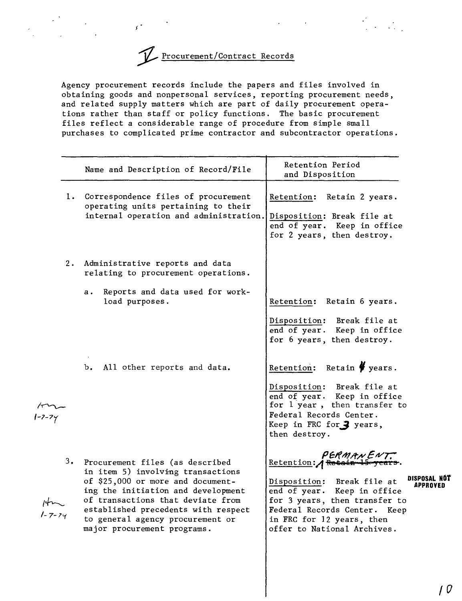

*f*

Agency procurement records include the papers and files involved in obtaining goods and nonpersonal services, reporting procurement needs, and related supply matters which are part of daily procurement operations rather than staff or policy functions. The basic procurement files reflect a considerable range of procedure from simple small purchases to complicated prime contractor and subcontractor operations.

|        | Name and Description of Record/File                                                                                                                                                                                                                                                               | Retention Period<br>and Disposition                                                                                                                                                                                                                     |
|--------|---------------------------------------------------------------------------------------------------------------------------------------------------------------------------------------------------------------------------------------------------------------------------------------------------|---------------------------------------------------------------------------------------------------------------------------------------------------------------------------------------------------------------------------------------------------------|
|        | 1. Correspondence files of procurement<br>operating units pertaining to their<br>internal operation and administration.                                                                                                                                                                           | Retention: Retain 2 years.<br>Disposition: Break file at<br>end of year. Keep in office<br>for 2 years, then destroy.                                                                                                                                   |
|        | 2. Administrative reports and data<br>relating to procurement operations.                                                                                                                                                                                                                         |                                                                                                                                                                                                                                                         |
|        | Reports and data used for work-<br>а.<br>load purposes.                                                                                                                                                                                                                                           | Retention: Retain 6 years.                                                                                                                                                                                                                              |
|        |                                                                                                                                                                                                                                                                                                   | Disposition: Break file at<br>end of year. Keep in office<br>for 6 years, then destroy.                                                                                                                                                                 |
|        | b. All other reports and data.                                                                                                                                                                                                                                                                    | Retention: Retain $\frac{p}{q}$ years.                                                                                                                                                                                                                  |
|        |                                                                                                                                                                                                                                                                                                   | Disposition: Break file at<br>end of year. Keep in office<br>for 1 year, then transfer to<br>Federal Records Center.<br>Keep in FRC for 3 years,<br>then destroy.                                                                                       |
| l-7-14 | 3. Procurement files (as described<br>in item 5) involving transactions<br>of \$25,000 or more and document-<br>ing the initiation and development<br>of transactions that deviate from<br>established precedents with respect<br>to general agency procurement or<br>major procurement programs. | PERMANENT.<br>Retention: / Retain<br>DISPOSAL NOT<br>Disposition: Break file at<br>APPROVEN<br>end of year. Keep in office<br>for 3 years, then transfer to<br>Federal Records Center. Keep<br>in FRC for 12 years, then<br>offer to National Archives. |
|        |                                                                                                                                                                                                                                                                                                   |                                                                                                                                                                                                                                                         |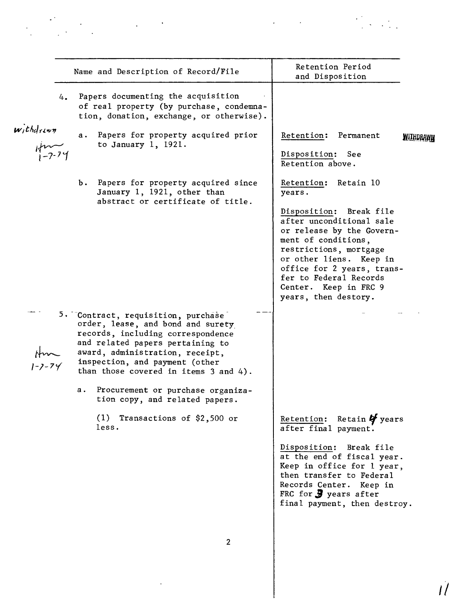|                                | Name and Description of Record/File                                                                                                                                                                                                                                                                                                         | VELENCION TETION<br>and Disposition                                                                                                                                                                                                                                                                        |                  |
|--------------------------------|---------------------------------------------------------------------------------------------------------------------------------------------------------------------------------------------------------------------------------------------------------------------------------------------------------------------------------------------|------------------------------------------------------------------------------------------------------------------------------------------------------------------------------------------------------------------------------------------------------------------------------------------------------------|------------------|
| 4.                             | Papers documenting the acquisition<br>of real property (by purchase, condemna-<br>tion, donation, exchange, or otherwise).                                                                                                                                                                                                                  |                                                                                                                                                                                                                                                                                                            |                  |
| $with drawn$<br>$\n  k - 7-74$ | Papers for property acquired prior<br>a.<br>to January $1, 1921.$                                                                                                                                                                                                                                                                           | Retention:<br>Permanent<br>Disposition:<br>See<br>Retention above.                                                                                                                                                                                                                                         | <b>MITHDRAWN</b> |
|                                | b. Papers for property acquired since<br>January 1, 1921, other than<br>abstract or certificate of title.                                                                                                                                                                                                                                   | Retain 10<br>Retention:<br>years.<br>Disposition: Break file<br>after unconditional sale<br>or release by the Govern-<br>ment of conditions,<br>restrictions, mortgage<br>or other liens. Keep in<br>office for 2 years, trans-<br>fer to Federal Records<br>Center. Keep in FRC 9<br>years, then destory. |                  |
|                                | 5. Contract, requisition, purchase<br>order, lease, and bond and surety<br>records, including correspondence<br>and related papers pertaining to<br>award, administration, receipt,<br>inspection, and payment (other<br>than those covered in items 3 and 4).<br>Procurement or purchase organiza-<br>а.<br>tion copy, and related papers. |                                                                                                                                                                                                                                                                                                            |                  |
|                                | (1)<br>Transactions of \$2,500 or<br>less.                                                                                                                                                                                                                                                                                                  | Retention: Retain $\mathbf{\mathcal{G}}$ years<br>after final payment.<br>Disposition: Break file<br>at the end of fiscal year.<br>Keep in office for 1 year,<br>then transfer to Federal<br>Records Center. Keep in<br>FRC for $\frac{1}{2}$ years after<br>final payment, then destroy.                  |                  |

 $\mathcal{L}^{\text{max}}_{\text{max}}$ 

*II*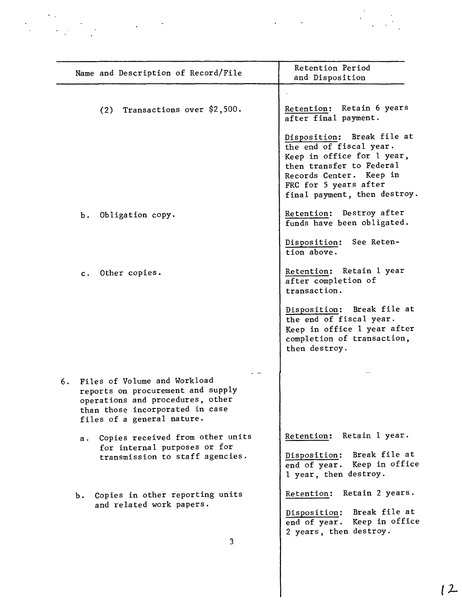|                                                                                                                                                                              | and Disposition                                                                                                                                                                                     |
|------------------------------------------------------------------------------------------------------------------------------------------------------------------------------|-----------------------------------------------------------------------------------------------------------------------------------------------------------------------------------------------------|
|                                                                                                                                                                              |                                                                                                                                                                                                     |
| $(2)$ Transactions over \$2,500.                                                                                                                                             | Retention: Retain 6 years<br>after final payment.                                                                                                                                                   |
|                                                                                                                                                                              | Disposition: Break file at<br>the end of fiscal year.<br>Keep in office for 1 year,<br>then transfer to Federal<br>Records Center. Keep in<br>FRC for 5 years after<br>final payment, then destroy. |
| Obligation copy.<br>b.                                                                                                                                                       | Retention: Destroy after<br>funds have been obligated.                                                                                                                                              |
|                                                                                                                                                                              | Disposition: See Reten-<br>tion above.                                                                                                                                                              |
| c. Other copies.                                                                                                                                                             | Retention: Retain 1 year<br>after completion of<br>transaction.                                                                                                                                     |
|                                                                                                                                                                              | Disposition: Break file at<br>the end of fiscal year.<br>Keep in office 1 year after<br>completion of transaction,<br>then destroy.                                                                 |
| Files of Volume and Workload<br>6.<br>reports on procurement and supply<br>operations and procedures, other<br>than those incorporated in case<br>files of a general nature. |                                                                                                                                                                                                     |
| Copies received from other units<br>$a \cdot$<br>for internal purposes or for<br>transmission to staff agencies.                                                             | Retain 1 year.<br>Retention:                                                                                                                                                                        |
|                                                                                                                                                                              | Disposition: Break file at<br>end of year. Keep in office<br>1 year, then destroy.                                                                                                                  |
| Copies in other reporting units<br>b.<br>and related work papers.                                                                                                            | Retain 2 years.<br>Retention:<br>Disposition: Break file at<br>end of year. Keep in office                                                                                                          |